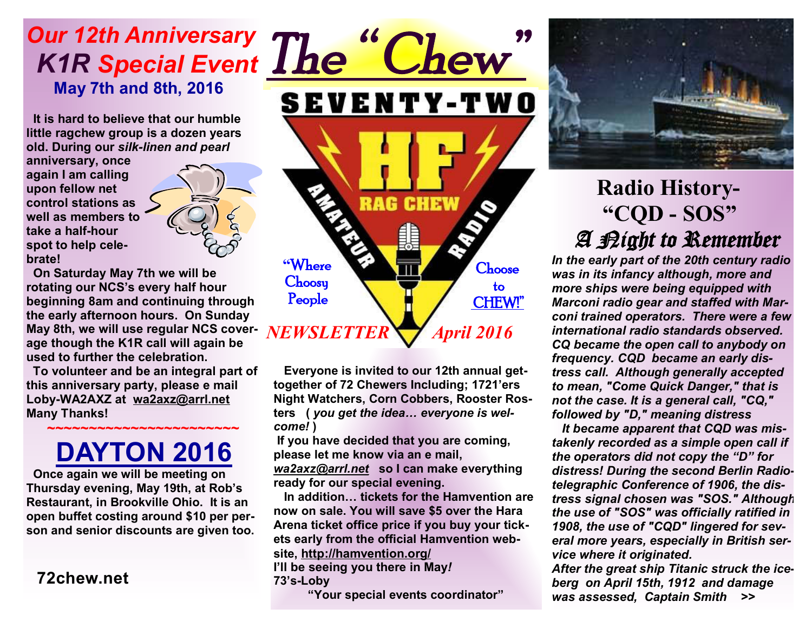## *Our 12th Anniversary K1R Special Event The " Chew"*   **May 7th and 8th, 2016**

 **It is hard to believe that our humble little ragchew group is a dozen years old. During our** *silk-linen and pearl* 

**anniversary, once again I am calling upon fellow net control stations as well as members to take a half-hour spot to help celebrate!** 



 **On Saturday May 7th we will be rotating our NCS's every half hour beginning 8am and continuing through the early afternoon hours. On Sunday May 8th, we will use regular NCS coverage though the K1R call will again be used to further the celebration.** 

**To volunteer and be an integral part of this anniversary party, please e mail Loby-WA2AXZ at wa2axz@arrl.net Many Thanks!** 

### **~~~~~~~~~~~~~~~~~~~~~~~ DAYTON 2016**

 **Once again we will be meeting on Thursday evening, May 19th, at Rob's Restaurant, in Brookville Ohio. It is an open buffet costing around \$10 per person and senior discounts are given too.** 

#### **72chew.net**



 **Everyone is invited to our 12th annual gettogether of 72 Chewers Including; 1721'ers Night Watchers, Corn Cobbers, Rooster Rosters (** *you get the idea… everyone is welcome!* **)** 

**If you have decided that you are coming, please let me know via an e mail,**  *wa2axz@arrl.net* **so I can make everything ready for our special evening.** 

 **In addition… tickets for the Hamvention are now on sale. You will save \$5 over the Hara Arena ticket office price if you buy your tickets early from the official Hamvention website, http://hamvention.org/ I'll be seeing you there in May***!*  **73's-Loby** 

**"Your special events coordinator"**



## **Radio History- "CQD - SOS"** *A Night to Remember*

*In the early part of the 20th century radio was in its infancy although, more and more ships were being equipped with Marconi radio gear and staffed with Marconi trained operators. There were a few international radio standards observed. CQ became the open call to anybody on frequency. CQD became an early distress call. Although generally accepted to mean, "Come Quick Danger," that is not the case. It is a general call, "CQ," followed by "D," meaning distress* 

 *It became apparent that CQD was mistakenly recorded as a simple open call if the operators did not copy the "D" for distress! During the second Berlin Radiotelegraphic Conference of 1906, the distress signal chosen was "SOS." Although the use of "SOS" was officially ratified in 1908, the use of "CQD" lingered for several more years, especially in British service where it originated.* 

*After the great ship Titanic struck the iceberg on April 15th, 1912 and damage was assessed, Captain Smith >>*